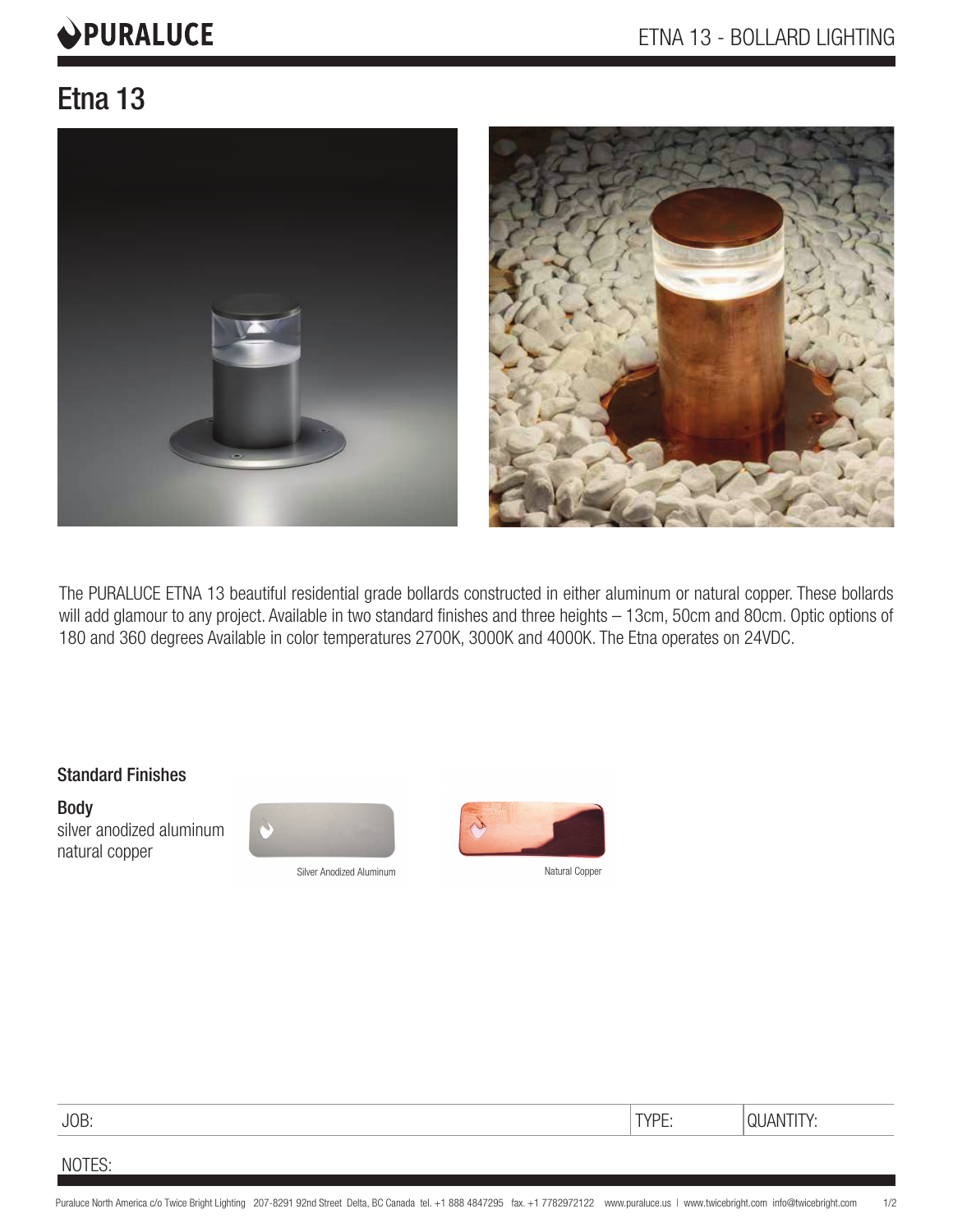# **OPURALUCE**

## Etna 13



The PURALUCE ETNA 13 beautiful residential grade bollards constructed in either aluminum or natural copper. These bollards will add glamour to any project. Available in two standard finishes and three heights – 13cm, 50cm and 80cm. Optic options of 180 and 360 degrees Available in color temperatures 2700K, 3000K and 4000K. The Etna operates on 24VDC.

#### Standard Finishes

Body silver anodized aluminum natural copper



Silver Anodized Aluminum



JOB: TYPE: QUANTITY:

NOTES: